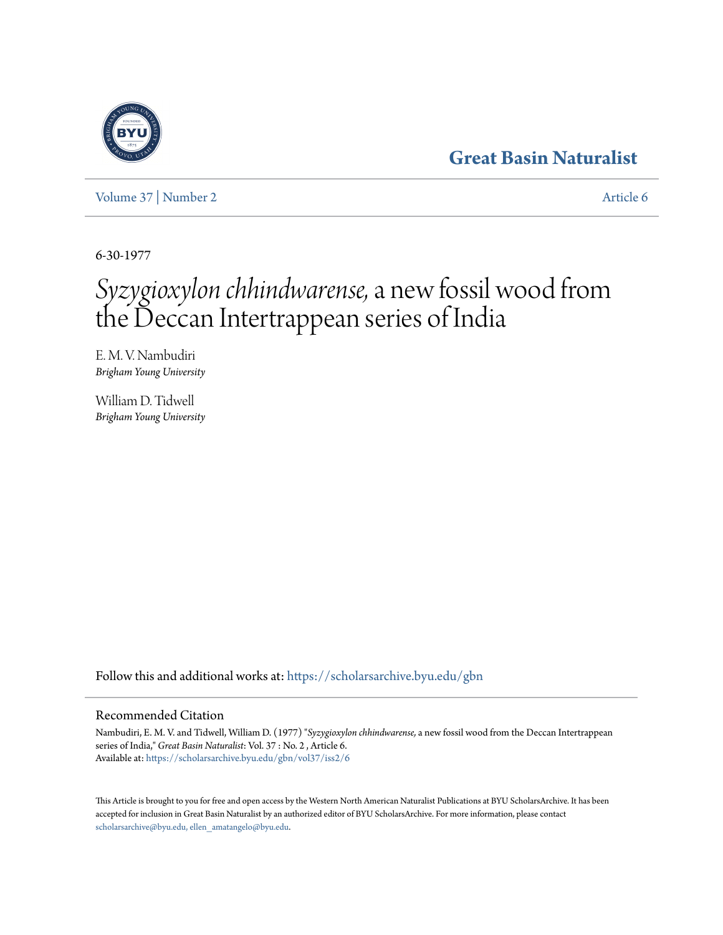## **[Great Basin Naturalist](https://scholarsarchive.byu.edu/gbn?utm_source=scholarsarchive.byu.edu%2Fgbn%2Fvol37%2Fiss2%2F6&utm_medium=PDF&utm_campaign=PDFCoverPages)**

[Volume 37](https://scholarsarchive.byu.edu/gbn/vol37?utm_source=scholarsarchive.byu.edu%2Fgbn%2Fvol37%2Fiss2%2F6&utm_medium=PDF&utm_campaign=PDFCoverPages) | [Number 2](https://scholarsarchive.byu.edu/gbn/vol37/iss2?utm_source=scholarsarchive.byu.edu%2Fgbn%2Fvol37%2Fiss2%2F6&utm_medium=PDF&utm_campaign=PDFCoverPages) [Article 6](https://scholarsarchive.byu.edu/gbn/vol37/iss2/6?utm_source=scholarsarchive.byu.edu%2Fgbn%2Fvol37%2Fiss2%2F6&utm_medium=PDF&utm_campaign=PDFCoverPages)

6-30-1977

# *Syzygioxylon chhindwarense,*a new fossil wood from the Deccan Intertrappean series of India

E. M. V. Nambudiri *Brigham Young University*

William D. Tidwell *Brigham Young University*

Follow this and additional works at: [https://scholarsarchive.byu.edu/gbn](https://scholarsarchive.byu.edu/gbn?utm_source=scholarsarchive.byu.edu%2Fgbn%2Fvol37%2Fiss2%2F6&utm_medium=PDF&utm_campaign=PDFCoverPages)

### Recommended Citation

Nambudiri, E. M. V. and Tidwell, William D. (1977) "*Syzygioxylon chhindwarense,* a new fossil wood from the Deccan Intertrappean series of India," *Great Basin Naturalist*: Vol. 37 : No. 2 , Article 6. Available at: [https://scholarsarchive.byu.edu/gbn/vol37/iss2/6](https://scholarsarchive.byu.edu/gbn/vol37/iss2/6?utm_source=scholarsarchive.byu.edu%2Fgbn%2Fvol37%2Fiss2%2F6&utm_medium=PDF&utm_campaign=PDFCoverPages)

This Article is brought to you for free and open access by the Western North American Naturalist Publications at BYU ScholarsArchive. It has been accepted for inclusion in Great Basin Naturalist by an authorized editor of BYU ScholarsArchive. For more information, please contact [scholarsarchive@byu.edu, ellen\\_amatangelo@byu.edu.](mailto:scholarsarchive@byu.edu,%20ellen_amatangelo@byu.edu)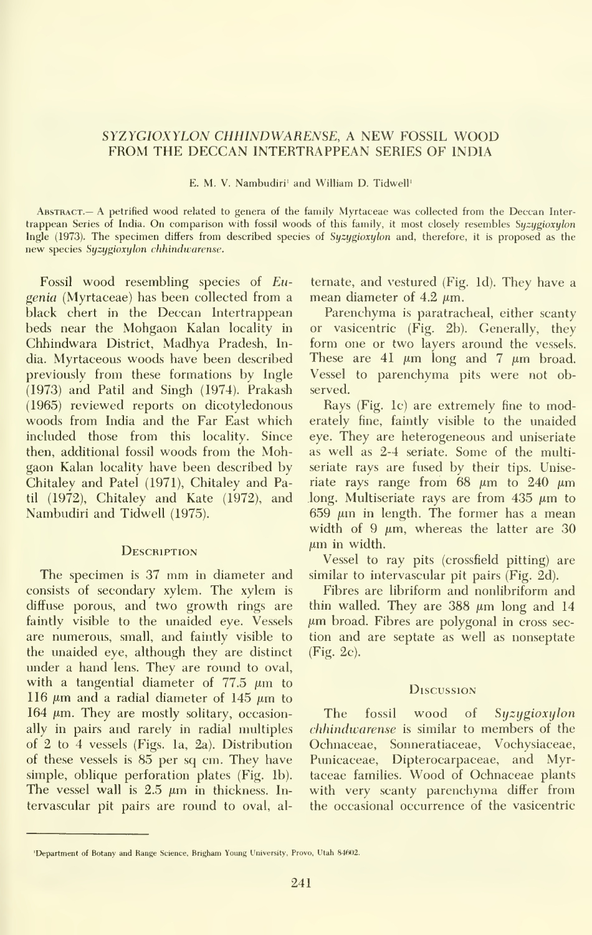#### SYZYGIOXYLON CHHINDWARENSE, A NEW FOSSIL WOOD FROM THE DECCAN INTERTRAPPEAN SERIES OF INDIA

E. M. V. Nambudiri' and William D. Tidwell'

Abstract.— A petrified wood related to genera of the family Myrtaceae was collected from the Deccan Inter trappean Series of India. On comparison with fossil woods of this family, it most closely resembles Syzygioxylon Ingle (1973). The specimen differs from described species of Syzygioxylon and, therefore, it is proposed as the new species Syzygioxylon chhindwarense.

Fossil wood resembling species of Eugenia (Myrtaceae) has been collected from a black chert in the Deccan Intertrappean beds near the Mohgaon Kalan locality in Chhindwara District, Madhya Pradesh, India. Myrtaceous woods have been described previously from these formations by Ingle (1973) and Patil and Singh (1974). Prakash (1965) reviewed reports on dicotyledonous woods from India and the Far East which included those from this locality. Since then, additional fossil woods from the Mohgaon Kalan locality have been described by Chitaley and Patel (1971), Chitaley and Patil (1972), Chitaley and Kate (1972), and Nambudiri and Tidwell (1975).

#### **DESCRIPTION**

The specimen is <sup>37</sup> mm in diameter and consists of secondary xylem. The xylem isdiffuse porous, and two growth rings are faintly visible to the unaided eye. Vessels are numerous, small, and faintly visible to the unaided eye, although they are distinct under a hand lens. They are round to oval, with a tangential diameter of  $77.5 \mu m$  to 116  $\mu$ m and a radial diameter of 145  $\mu$ m to 164  $\mu$ m. They are mostly solitary, occasionally in pairs and rarely in radial multiples of 2 to 4 vessels (Figs, la, 2a). Distribution of these vessels is 85 per sq cm. They have simple, oblique perforation plates (Fig. lb). The vessel wall is  $2.5 \mu m$  in thickness. Intervascular pit pairs are round to oval, alternate, and vestured (Fig. Id). They have a mean diameter of  $4.2 \mu m$ .

Parenchyma is paratracheal, either scanty or vasicentric (Fig. 2b). Generally, they form one or two layers around the vessels. These are 41  $\mu$ m long and 7  $\mu$ m broad. Vessel to parenchyma pits were not observed.

Rays (Fig. Ic) are extremely fine to moderately fine, faintly visible to the unaided eye. They are heterogeneous and uniseriate as well as 2-4 seriate. Some of the multiseriate rays are fused by their tips. Uniseriate rays range from 68  $\mu$ m to 240  $\mu$ m long. Multiseriate rays are from  $435 \mu m$  to  $659 \mu m$  in length. The former has a mean width of 9  $\mu$ m, whereas the latter are 30 um in width.

Vessel to ray pits (crossfield pitting) are similar to intervascular pit pairs (Fig. 2d).

Fibres are libriform and nonlibriform and thin walled. They are  $388 \mu m$  long and 14  $\mu$ m broad. Fibres are polygonal in cross section and are septate as well as nonseptate (Fig. 2c).

#### **Discussion**

The fossil wood of Syzygioxylon chhindwarense is similar to members of the Ochnaceae, Sonneratiaceae, Vochysiaceae, Punicaceae, Dipterocarpaceae, and Myrtaceae families. Wood of Ochnaceae plants with very scanty parenchyma differ from the occasional occurrence of the vasicentric

<sup>&#</sup>x27;Department of Botany and Range Science, Brigham Young University, Provo, Utah 84602.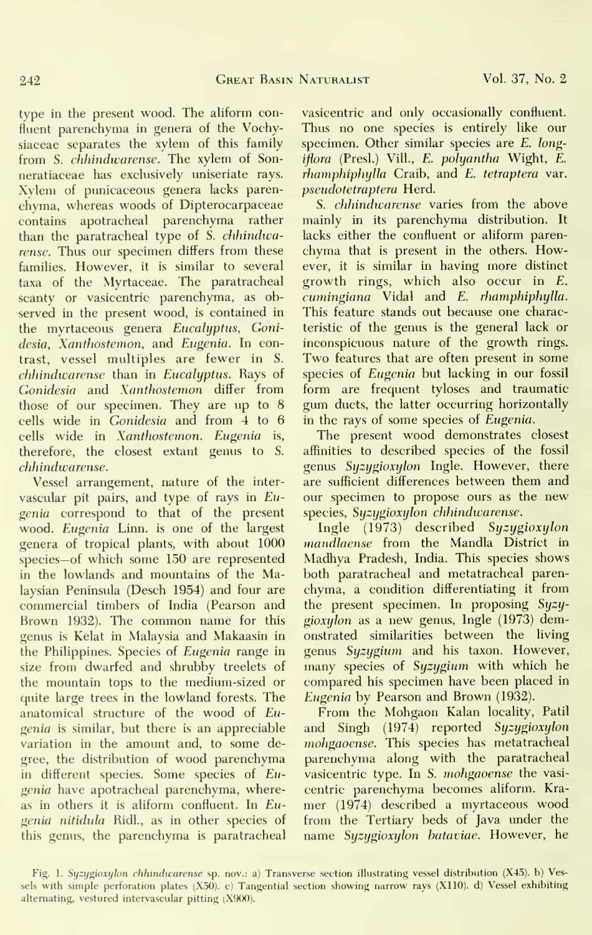type in the present wood. The aliform confluent parenchyma in genera of the Vochysiaceae separates the xylem of this family from S. chhindivarense. The xylem of Sonneratiaceae has exclusively uniseriate rays. Xvlem of punicaceous genera lacks paren chyma, whereas woods of Dipterocarpaceae contains apotracheal parenchyma rather than the paratracheal type of S. chhindwarense. Thus our specimen differs from these families. However, it is similar to several taxa of the Myrtaceae. The paratracheal scanty or vasicentric parenchyma, as ob served in the present wood, is contained in the myrtaceous genera Eucalyptus, Gonidesia, Xanthostemon, and Eugenia. In contrast, vessel multiples are fewer in S. chhindivarense than in Eucalyptus. Rays of Gonidesia and Xanthostemon differ from those of our specimen. They are up to 8 cells wide in Gonidesia and from 4 to 6 cells wide in Xanthostemon. Eugenia is, therefore, the closest extant genus to S. chhindivarense.

Vessel arrangement, nature of the inter vascular pit pairs, and type of rays in Eugenia correspond to that of the present wood. Eugenia Linn, is one of the largest genera of tropical plants, with about 1000 species—of which some 150 are represented in the lowlands and mountains of the Malaysian Peninsula (Desch 1954) and four are commercial timbers of India (Pearson and Brown 1932). The common name for this genus isKelat in Malaysia and Makaasin in the Philippines. Species of Eugenia range in size from dwarfed and shrubby treelets of the mountain tops to the medium-sized or quite large trees in the lowland forests. The anatomical structure of the wood of Eugenia is similar, but there is an appreciable variation in the amount and, to some degree, the distribution of wood parenchyma in different species. Some species of Eugenia have apotracheal parenchyma, whereas in others it is aliform confluent. In Eugenia nitidula Ridl., as in other species of this genus, the parenchyma is paratracheal

vasicentric and only occasionally confluent. Thus no one species is entirely like our specimen. Other similar species are E. longiflora (Presl.) Vill., E. polyantha Wight, E. rhamphiphylla Craib, and E. tetraptera var. pseudotetraptera Herd.

S. *chhindwarense* varies from the above mainly in its parenchyma distribution. It lacks either the confluent or aliform paren chyma that is present in the others. However, it is similar in having more distinct growth rings, which also occur in £. cumingiana Vidal and E. rhamphiphylla. This feature stands out because one characteristic of the genus is the general lack or inconspicuous nature of the growth rings. Two features that are often present in some species of Eugenia but lacking in our fossil form are frequent tyloses and traumatic gum ducts, the latter occurring horizontally in the rays of some species of Eugenia.

The present wood demonstrates closest affinities to described species of the fossil genus Syzygioxylon Ingle. However, there are sufficient differences between them and our specimen to propose ours as the new species, Syzygioxylon chhindwarense.

Ingle (1973) described Syzygioxylon mandlaense from the Mandla District in Madhya Pradesh, India. This species shows both paratracheal and metatracheal paren chyma, a condition differentiating it from the present specimen. In proposing Syzygioxylon as a new genus. Ingle (1973) demonstrated similarities between the living genus Syzygium and his taxon. However, many species of Syzygium with which he compared his specimen have been placed in Eugenia by Pearson and Brown (1932).

From the Mohgaon Kalan locality, Patil and Singh (1974) reported Syzygioxylon mohgaoense. This species has metatracheal parenchyma along with the paratracheal vasicentric type. In S. mohgaoense the vasi centric parenchyma becomes aliform. Kra mer (1974) described <sup>a</sup> myrtaceous wood from the Tertiary beds of Java under the name Syzygioxylon bataviae. However, he

Fig. 1. Syzygioxylon chhindivarense sp. nov.: a) Transverse section illustrating vessel distribution (X45). b) Vessels with simple perforation plates (X50). c) Tangential section showing narrow rays (XllO). d) Vessel exhibiting alternating, vestured intervascular pitting (X900).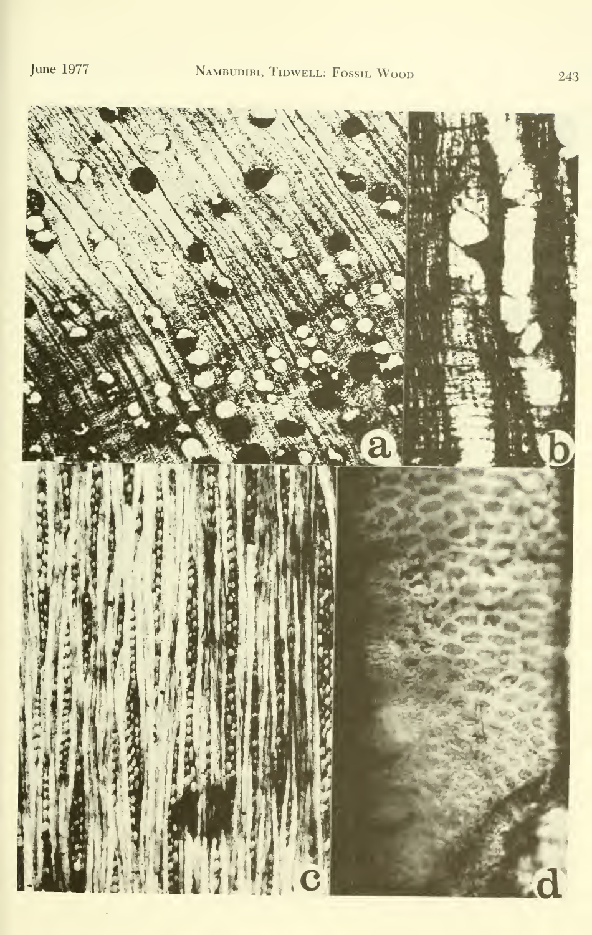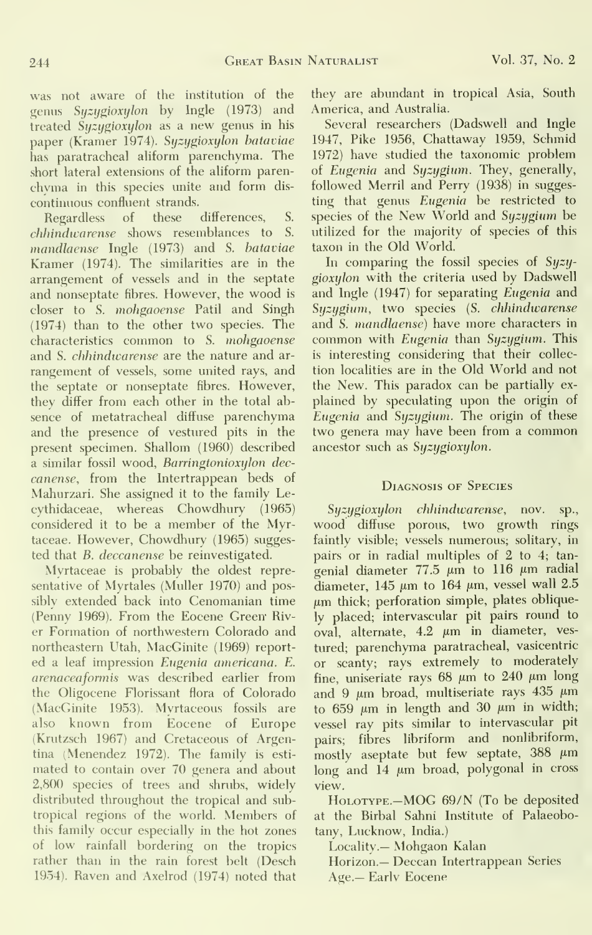was not aware of the institution of the genus Syzygioxylon by Ingle (1973) and treated Syzygioxylon as a new genus in his paper (Kramer 1974). Syzygioxylon bataviae has paratracheal aliform parenchyma. The short lateral extensions of the aliform paren chvnia in this species unite and form dis continuous confluent strands.<br>Regardless of these differences,

Regardless of these differences, S. chhindwarense shows resemblances to S. mandlaense Ingle (1973) and S. bataviae Kramer (1974). The similarities are in the arrangement of vessels and in the septate and nonseptate fibres. However, the wood is closer to S. mohgaoense Patil and Singh (1974) than to the other two species. The characteristics common to S. mohgaoense and S. chhindwarense are the nature and ar rangement of vessels, some united rays, and the septate or nonseptate fibres. However, they differ from each other in the total ab sence of metatracheal diffuse parenchyma and the presence of vestured pits in the present specimen. Shallom (1960) described a similar fossil wood, Barringtonioxylon deccanense, from the Intertrappean beds of Mahurzari. She assigned it to the family Lecythidaceae, whereas Chowdhury (1965) considered it to be a member of the Myrtaceae. However, Chowdhury (1965) suggested that B. deccanense be reinvestigated.

Myrtaceae is probably the oldest representative of Myrtales (Muller 1970) and possibly extended back into Cenomanian time (Penny 1969). From the Eocene Green River Formation of northwestern Colorado and northeastern Utah, MacGinite (1969) report ed a leaf impression Eugenia americana. E. arenaceafonnis was described earlier from the Oligocene Florissant flora of Colorado (MacGinite 1953). Myrtaceous fossils are also known from Eocene of Europe (Krutzsch 1967) and Cretaceous of Argentina (Menendez 1972). The family is esti mated to contain over 70 genera and about 2,800 species of trees and shrubs, widely distributed throughout the tropical and subtropical regions of the world. Members of this family occur especially in the hot zones of low rainfall bordering on the tropics rather than in the rain forest belt (Desch 1954). Raven and Axelrod (1974) noted that

they are abundant in tropical Asia, South America, and Australia.

Several researchers (Dadswell and Ingle 1947, Pike 1956, Chattaway 1959, Schmid 1972) have studied the taxonomic problem of Eugenia and Syzygium. They, generally, followed Merril and Perry (1938) in suggesting that genus Eugenia be restricted to species of the New World and Syzygium be utilized for the majority of species of this taxon in the Old World.

In comparing the fossil species of  $Syzy$ gioxylon with the criteria used by Dadswell and Ingle (1947) for separating Eugenia and Syzygium, two species (S. chhindwarense and S. mandlaense) have more characters in common with Eugenia than Syzygium. This is interesting considering that their collection localities are in the Old World and not the New. This paradox can be partially ex plained by speculating upon the origin of Eugenia and Syzygium. The origin of these two genera may have been from <sup>a</sup> common ancestor such as Syzygioxylon.

#### Diagnosis of Species

Syzygioxylon chhindwarense, nov. sp., wood diffuse porous, two growth rings faintly visible; vessels numerous; solitary, in pairs or in radial multiples of 2 to 4; tan genial diameter 77.5  $\mu$ m to 116  $\mu$ m radial diameter, 145  $\mu$ m to 164  $\mu$ m, vessel wall 2.5  $\mu$ m thick; perforation simple, plates obliquely placed; intervascular pit pairs round to oval, alternate,  $4.2 \mu m$  in diameter, vestured; parenchyma paratracheal, vasicentric or scanty; rays extremely to moderately fine, uniseriate rays 68  $\mu$ m to 240  $\mu$ m long and 9  $\mu$ m broad, multiseriate rays 435  $\mu$ m to 659  $\mu$ m in length and 30  $\mu$ m in width; vessel ray pits similar to intervascular pit pairs; fibres libriform and nonlibriform, mostly aseptate but few septate,  $388 \mu m$ long and  $14 \mu m$  broad, polygonal in cross view.

HoLOTYPE.-MOG 69/N (To be deposited at the Birbal Sahni Institute of Paleobotany, Lucknow, India.)

Locality.— Mohgaon Kalan Horizon.— Deccan Intertrappean Series Age.— Early Eocene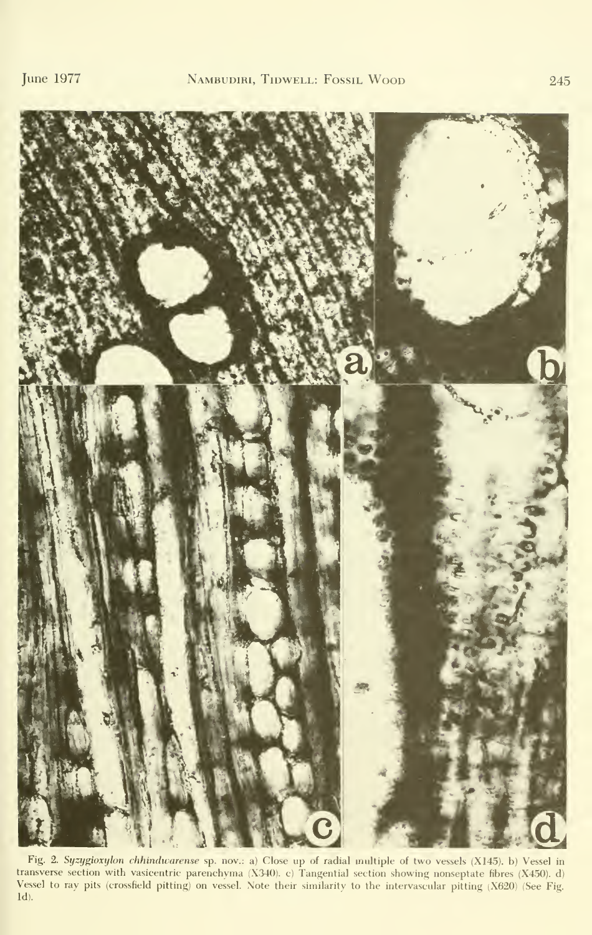

Fig. 2. Syzygioxylon chhindwarense sp. nov.: a) Close up of radial multiple of two vessels (X145). b) Vessel in transverse section with vasicentric parenchyma (X340). c) Tangential section showing nonseptate fibres (X450). d) Vessel to ray pits (crossfield pitting) on vessel. Note their similarity to the intervascular pitting (X620) (See Fig. Id).